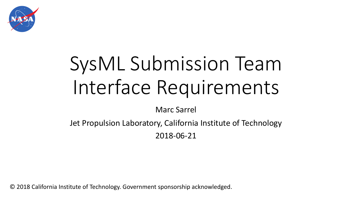

# SysML Submission Team Interface Requirements

Marc Sarrel

Jet Propulsion Laboratory, California Institute of Technology 2018-06-21

© 2018 California Institute of Technology. Government sponsorship acknowledged.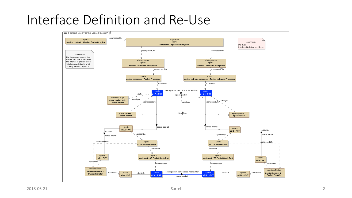## Interface Definition and Re-Use

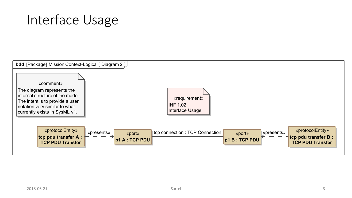# Interface Usage

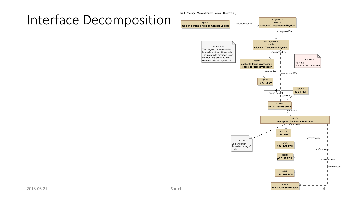# Interface Decomposition

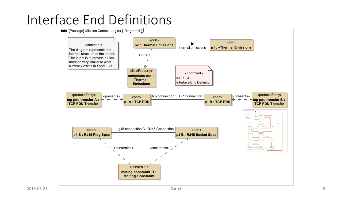# Interface End Definitions

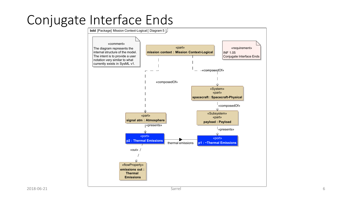# Conjugate Interface Ends

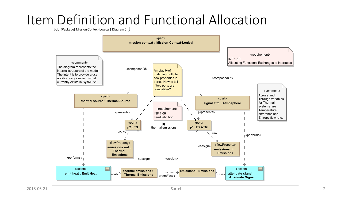## Item Definition and Functional Allocation

**bdd** [Package] Mission Context-Logical [ Diagram 6 ]

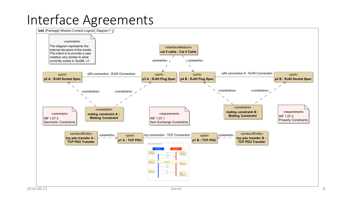## Interface Agreements

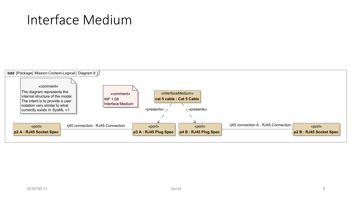## Interface Medium

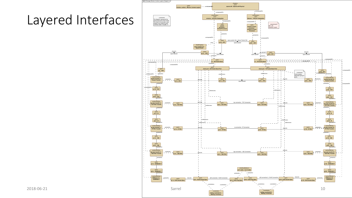#### Layered Interfaces

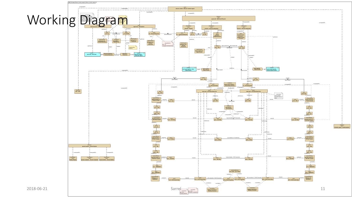